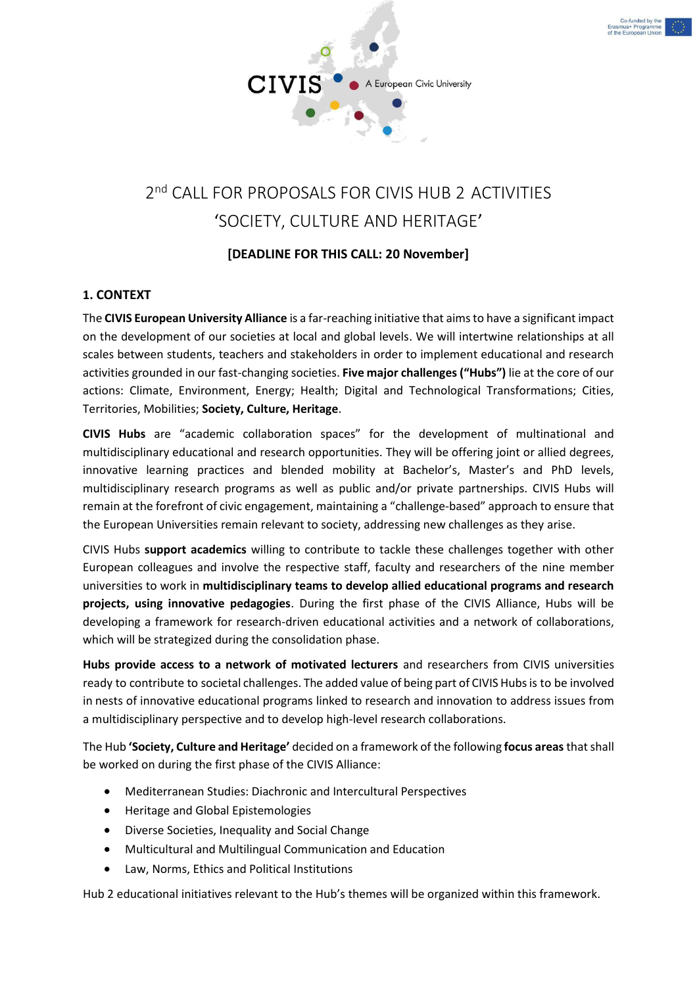



# 'SOCIETY, CULTURE AND HERITAGE'

# **[DEADLINE FOR THIS CALL: 20 November]**

# **1. CONTEXT**

The **CIVIS European University Alliance** is a far-reaching initiative that aims to have a significant impact on the development of our societies at local and global levels. We will intertwine relationships at all scales between students, teachers and stakeholders in order to implement educational and research activities grounded in our fast-changing societies. **Five major challenges ("Hubs")** lie at the core of our actions: Climate, Environment, Energy; Health; Digital and Technological Transformations; Cities, Territories, Mobilities; **Society, Culture, Heritage**.

**CIVIS Hubs** are "academic collaboration spaces" for the development of multinational and multidisciplinary educational and research opportunities. They will be offering joint or allied degrees, innovative learning practices and blended mobility at Bachelor's, Master's and PhD levels, multidisciplinary research programs as well as public and/or private partnerships. CIVIS Hubs will remain at the forefront of civic engagement, maintaining a "challenge-based" approach to ensure that the European Universities remain relevant to society, addressing new challenges as they arise.

CIVIS Hubs **support academics** willing to contribute to tackle these challenges together with other European colleagues and involve the respective staff, faculty and researchers of the nine member universities to work in **multidisciplinary teams to develop allied educational programs and research projects, using innovative pedagogies**. During the first phase of the CIVIS Alliance, Hubs will be developing a framework for research-driven educational activities and a network of collaborations, which will be strategized during the consolidation phase.

**Hubs provide access to a network of motivated lecturers** and researchers from CIVIS universities ready to contribute to societal challenges. The added value of being part of CIVIS Hubs is to be involved in nests of innovative educational programs linked to research and innovation to address issues from a multidisciplinary perspective and to develop high-level research collaborations.

The Hub **'Society, Culture and Heritage'** decided on a framework of the following **focus areas**that shall be worked on during the first phase of the CIVIS Alliance:

- Mediterranean Studies: Diachronic and Intercultural Perspectives
- Heritage and Global Epistemologies
- Diverse Societies, Inequality and Social Change
- Multicultural and Multilingual Communication and Education
- Law, Norms, Ethics and Political Institutions

Hub 2 educational initiatives relevant to the Hub's themes will be organized within this framework.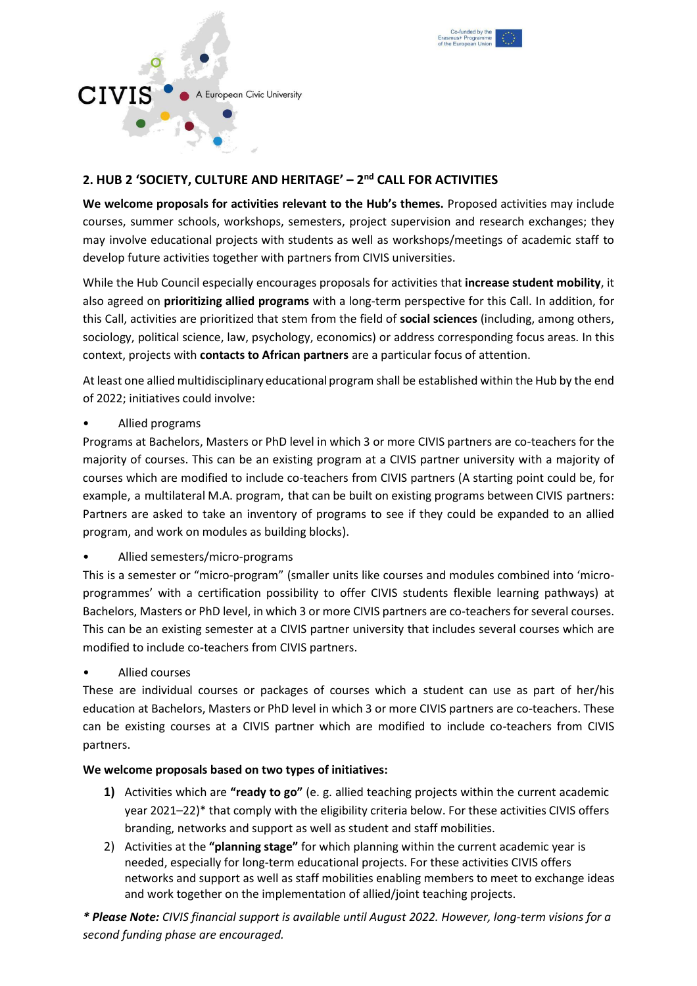



# **2. HUB 2 'SOCIETY, CULTURE AND HERITAGE' – 2 nd CALL FOR ACTIVITIES**

**We welcome proposals for activities relevant to the Hub's themes.** Proposed activities may include courses, summer schools, workshops, semesters, project supervision and research exchanges; they may involve educational projects with students as well as workshops/meetings of academic staff to develop future activities together with partners from CIVIS universities.

While the Hub Council especially encourages proposals for activities that **increase student mobility**, it also agreed on **prioritizing allied programs** with a long-term perspective for this Call. In addition, for this Call, activities are prioritized that stem from the field of **social sciences** (including, among others, sociology, political science, law, psychology, economics) or address corresponding focus areas. In this context, projects with **contacts to African partners** are a particular focus of attention.

At least one allied multidisciplinary educational program shall be established within the Hub by the end of 2022; initiatives could involve:

• Allied programs

Programs at Bachelors, Masters or PhD level in which 3 or more CIVIS partners are co-teachers for the majority of courses. This can be an existing program at a CIVIS partner university with a majority of courses which are modified to include co-teachers from CIVIS partners (A starting point could be, for example, a multilateral M.A. program, that can be built on existing programs between CIVIS partners: Partners are asked to take an inventory of programs to see if they could be expanded to an allied program, and work on modules as building blocks).

• Allied semesters/micro-programs

This is a semester or "micro-program" (smaller units like courses and modules combined into 'microprogrammes' with a certification possibility to offer CIVIS students flexible learning pathways) at Bachelors, Masters or PhD level, in which 3 or more CIVIS partners are co-teachers for several courses. This can be an existing semester at a CIVIS partner university that includes several courses which are modified to include co-teachers from CIVIS partners.

• Allied courses

These are individual courses or packages of courses which a student can use as part of her/his education at Bachelors, Masters or PhD level in which 3 or more CIVIS partners are co-teachers. These can be existing courses at a CIVIS partner which are modified to include co-teachers from CIVIS partners.

# **We welcome proposals based on two types of initiatives:**

- **1)** Activities which are **"ready to go"** (e. g. allied teaching projects within the current academic year 2021–22)\* that comply with the eligibility criteria below. For these activities CIVIS offers branding, networks and support as well as student and staff mobilities.
- 2) Activities at the **"planning stage"** for which planning within the current academic year is needed, especially for long-term educational projects. For these activities CIVIS offers networks and support as well as staff mobilities enabling members to meet to exchange ideas and work together on the implementation of allied/joint teaching projects.

*\* Please Note: CIVIS financial support is available until August 2022. However, long-term visions for a second funding phase are encouraged.*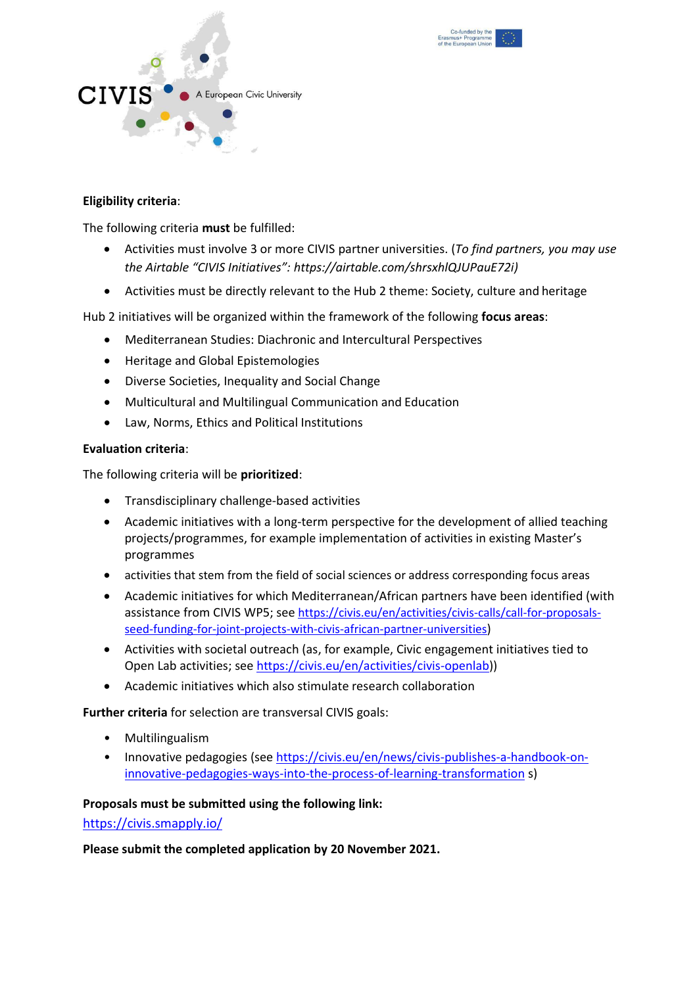



# **Eligibility criteria**:

The following criteria **must** be fulfilled:

- Activities must involve 3 or more CIVIS partner universities. (*To find partners, you may use the Airtable "CIVIS Initiatives": https://airtable.com/shrsxhlQJUPauE72i)*
- Activities must be directly relevant to the Hub 2 theme: Society, culture and heritage

Hub 2 initiatives will be organized within the framework of the following **focus areas**:

- Mediterranean Studies: Diachronic and Intercultural Perspectives
- Heritage and Global Epistemologies
- Diverse Societies, Inequality and Social Change
- Multicultural and Multilingual Communication and Education
- Law, Norms, Ethics and Political Institutions

#### **Evaluation criteria**:

The following criteria will be **prioritized**:

- Transdisciplinary challenge-based activities
- Academic initiatives with a long-term perspective for the development of allied teaching projects/programmes, for example implementation of activities in existing Master's programmes
- activities that stem from the field of social sciences or address corresponding focus areas
- Academic initiatives for which Mediterranean/African partners have been identified (with assistance from CIVIS WP5; see [https://civis.eu/en/activities/civis-calls/call-for-proposals](https://civis.eu/en/activities/civis-calls/call-for-proposals-seed-funding-for-joint-projects-with-civis-african-partner-universities)[seed-funding-for-joint-projects-with-civis-african-partner-universities](https://civis.eu/en/activities/civis-calls/call-for-proposals-seed-funding-for-joint-projects-with-civis-african-partner-universities))
- Activities with societal outreach (as, for example, Civic engagement initiatives tied to Open Lab activities; see [https://civis.eu/en/activities/civis-openlab\)](https://civis.eu/en/activities/civis-openlab))
- Academic initiatives which also stimulate research collaboration

**Further criteria** for selection are transversal CIVIS goals:

- Multilingualism
- Innovative pedagogies (see [https://civis.eu/en/news/civis-publishes-a-handbook-on](https://civis.eu/en/news/civis-publishes-a-handbook-on-innovative-pedagogies-ways-into-the-process-of-learning-transformation)[innovative-pedagogies-ways-into-the-process-of-learning-transformation](https://civis.eu/en/news/civis-publishes-a-handbook-on-innovative-pedagogies-ways-into-the-process-of-learning-transformation) s)

# **Proposals must be submitted using the following link:**

<https://civis.smapply.io/>

**Please submit the completed application by 20 November 2021.**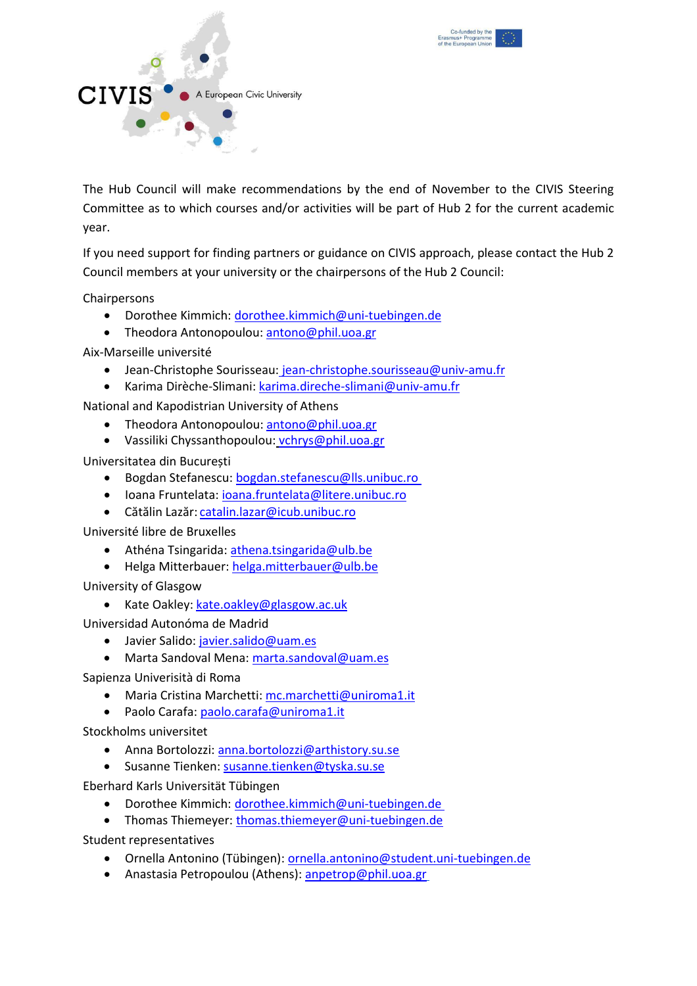



The Hub Council will make recommendations by the end of November to the CIVIS Steering Committee as to which courses and/or activities will be part of Hub 2 for the current academic year.

If you need support for finding partners or guidance on CIVIS approach, please contact the Hub 2 Council members at your university or the chairpersons of the Hub 2 Council:

Chairpersons

- Dorothee Kimmich: [dorothee.kimmich@uni-tuebingen.de](mailto:dorothee.kimmich@uni-tuebingen.de)
- Theodora Antonopoulou: [antono@phil.uoa.gr](mailto:antono@phil.uoa.gr)

Aix-Marseille université

- Jean-Christophe Sourisseau: [jean-christophe.sourisseau@univ-amu.fr](mailto:jean-christophe.sourisseau@univ-amu.fr)
- Karima Dirèche-Slimani: [karima.direche-slimani@univ-amu.fr](mailto:karima.DIRECHE-SLIMANI@univ-amu.fr)

National and Kapodistrian University of Athens

- Theodora Antonopoulou: [antono@phil.uoa.gr](mailto:antono@phil.uoa.gr)
- Vassiliki Chyssanthopoulou: [vchrys@phil.uoa.gr](mailto:vchrys@phil.uoa.gr)

Universitatea din București

- Bogdan Stefanescu: [bogdan.stefanescu@lls.unibuc.ro](mailto:bogdan.stefanescu@lls.unibuc.ro)
- Ioana Fruntelata: [ioana.fruntelata@litere.unibuc.ro](mailto:ioana.fruntelata@litere.unibuc.ro)
- Cătălin Lazăr: [catalin.lazar@icub.unibuc.ro](mailto:catalin.lazar@icub.unibuc.ro)

Université libre de Bruxelles

- Athéna Tsingarida: [athena.tsingarida@ulb.be](mailto:athena.tsingarida@ulb.be)
- Helga Mitterbauer: [helga.mitterbauer@ulb.be](mailto:Helga.mitterbauer@ulb.be)

University of Glasgow

• Kate Oakley: [kate.oakley@glasgow.ac.uk](mailto:kate.oakley@glasgow.ac.uk)

Universidad Autonóma de Madrid

- Javier Salido: [javier.salido@uam.es](mailto:javier.salido@uam.es)
- Marta Sandoval Mena: [marta.sandoval@uam.es](mailto:marta.sandoval@uam.es)

Sapienza Univerisità di Roma

- Maria Cristina Marchetti: [mc.marchetti@uniroma1.it](mailto:mcmarchetti@uniroma1.it)
- Paolo Carafa: [paolo.carafa@uniroma1.it](mailto:paolo.carafa@uniroma1.it)

Stockholms universitet

- Anna Bortolozzi: [anna.bortolozzi@arthistory.su.se](mailto:anna.bortolozzi@arthistory.su.se)
- Susanne Tienken: [susanne.tienken@tyska.su.se](mailto:susanne.tienken@tyska.su.se)

Eberhard Karls Universität Tübingen

- Dorothee Kimmich: [dorothee.kimmich@uni-tuebingen.de](mailto:dorothee.kimmich@uni-tuebingen.de)
- Thomas Thiemeyer: [thomas.thiemeyer@uni-tuebingen.de](mailto:thomas.thiemeyer@uni-tuebingen.de)

Student representatives

- Ornella Antonino (Tübingen): [ornella.antonino@student.uni-tuebingen.de](mailto:ornella.antonino@student.uni-tuebingen.de)
- Anastasia Petropoulou (Athens): [anpetrop@phil.uoa.gr](mailto:anpetrop@phil.uoa.gr)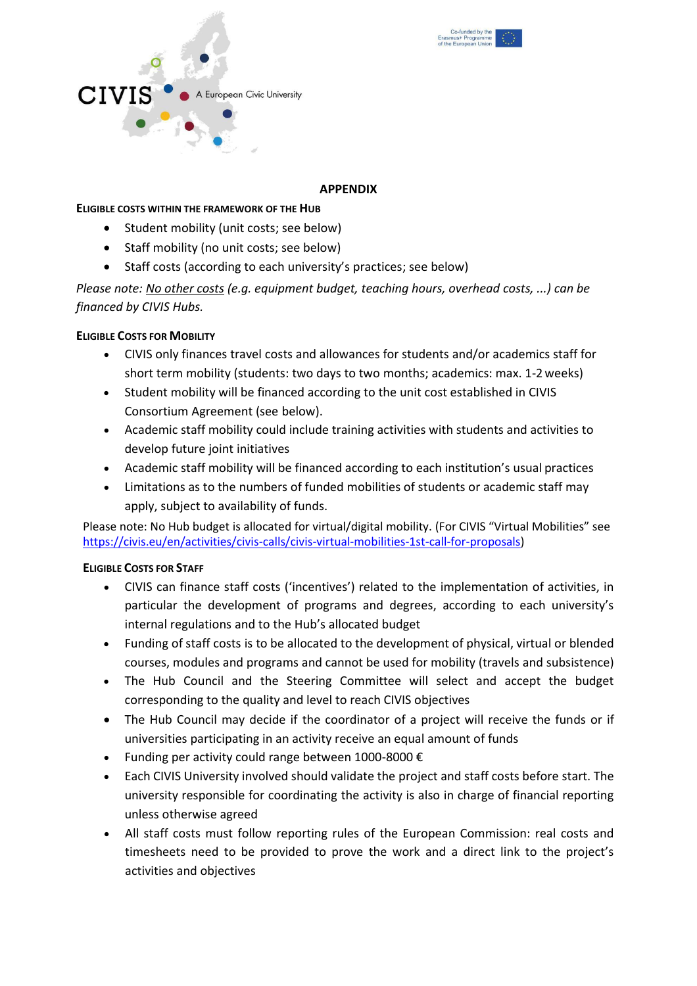



#### **APPENDIX**

#### **ELIGIBLE COSTS WITHIN THE FRAMEWORK OF THE HUB**

- Student mobility (unit costs; see below)
- Staff mobility (no unit costs; see below)
- Staff costs (according to each university's practices; see below)

*Please note: No other costs (e.g. equipment budget, teaching hours, overhead costs, ...) can be financed by CIVIS Hubs.*

# **ELIGIBLE COSTS FOR MOBILITY**

- CIVIS only finances travel costs and allowances for students and/or academics staff for short term mobility (students: two days to two months; academics: max. 1-2weeks)
- Student mobility will be financed according to the unit cost established in CIVIS Consortium Agreement (see below).
- Academic staff mobility could include training activities with students and activities to develop future joint initiatives
- Academic staff mobility will be financed according to each institution's usual practices
- Limitations as to the numbers of funded mobilities of students or academic staff may apply, subject to availability of funds.

Please note: No Hub budget is allocated for virtual/digital mobility. (For CIVIS "Virtual Mobilities" see [https://civis.eu/en/activities/civis-calls/civis-virtual-mobilities-1st-call-for-proposals\)](https://civis.eu/en/activities/civis-calls/civis-virtual-mobilities-1st-call-for-proposals)

# **ELIGIBLE COSTS FOR STAFF**

- CIVIS can finance staff costs ('incentives') related to the implementation of activities, in particular the development of programs and degrees, according to each university's internal regulations and to the Hub's allocated budget
- Funding of staff costs is to be allocated to the development of physical, virtual or blended courses, modules and programs and cannot be used for mobility (travels and subsistence)
- The Hub Council and the Steering Committee will select and accept the budget corresponding to the quality and level to reach CIVIS objectives
- The Hub Council may decide if the coordinator of a project will receive the funds or if universities participating in an activity receive an equal amount of funds
- Funding per activity could range between 1000-8000 €
- Each CIVIS University involved should validate the project and staff costs before start. The university responsible for coordinating the activity is also in charge of financial reporting unless otherwise agreed
- All staff costs must follow reporting rules of the European Commission: real costs and timesheets need to be provided to prove the work and a direct link to the project's activities and objectives